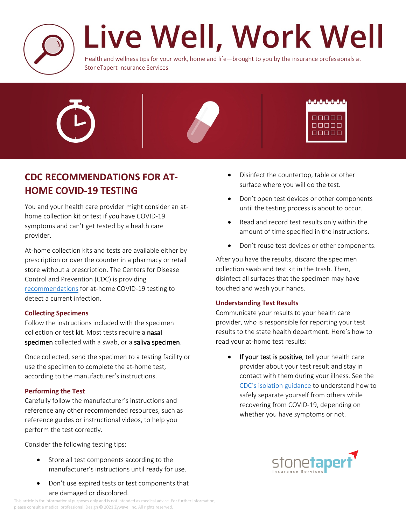

# Live Well, Work Well

Health and wellness tips for your work, home and life—brought to you by the insurance professionals at StoneTapert Insurance Services



## **CDC RECOMMENDATIONS FOR AT-HOME COVID-19 TESTING**

You and your health care provider might consider an athome collection kit or test if you have COVID-19 symptoms and can't get tested by a health care provider.

At-home collection kits and tests are available either by prescription or over the counter in a pharmacy or retail store without a prescription. The Centers for Disease Control and Prevention (CDC) is providing [recommendations](https://www.cdc.gov/coronavirus/2019-ncov/testing/at-home-testing.html) for at-home COVID-19 testing to detect a current infection.

### **Collecting Specimens**

Follow the instructions included with the specimen collection or test kit. Most tests require a **nasal specimen** collected with a swab, or a **saliva specimen**.

Once collected, send the specimen to a testing facility or use the specimen to complete the at-home test, according to the manufacturer's instructions.

### **Performing the Test**

Carefully follow the manufacturer's instructions and reference any other recommended resources, such as reference guides or instructional videos, to help you perform the test correctly.

Consider the following testing tips:

- Store all test components according to the manufacturer's instructions until ready for use.
- Don't use expired tests or test components that are damaged or discolored.
- Disinfect the countertop, table or other surface where you will do the test.
- Don't open test devices or other components until the testing process is about to occur.
- Read and record test results only within the amount of time specified in the instructions.
- Don't reuse test devices or other components.

After you have the results, discard the specimen collection swab and test kit in the trash. Then, disinfect all surfaces that the specimen may have touched and wash your hands.

### **Understanding Test Results**

Communicate your results to your health care provider, who is responsible for reporting your test results to the state health department. Here's how to read your at-home test results:

**If your test is positive**, tell your health care provider about your test result and stay in contact with them during your illness. See the [CDC's isolation guidance](https://www.cdc.gov/coronavirus/2019-ncov/if-you-are-sick/isolation.html) to understand how to safely separate yourself from others while recovering from COVID-19, depending on whether you have symptoms or not.